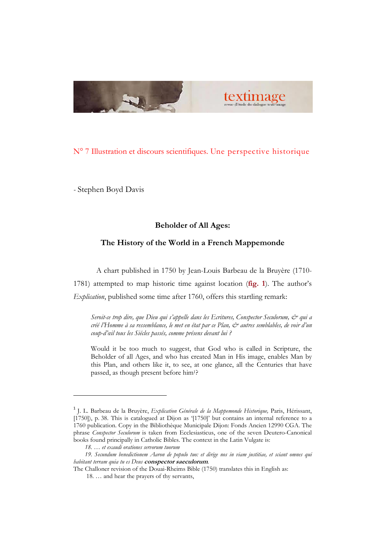

# N° 7 Illustration et discours scientifiques. Une perspective historique

- Stephen Boyd Davis

### Beholder of All Ages:

### The History of the World in a French Mappemonde

A chart published in 1750 by Jean-Louis Barbeau de la Bruyère (1710-

1781) attempted to map historic time against location (fig. 1). The author's Explication, published some time after 1760, offers this startling remark:

Seroit-ce trop dire, que Dieu qui s'appelle dans les Ecritures, Conspector Seculorum, & qui a créé l'Homme à sa ressemblance, le met en état par ce Plan, & autres semblables, de voir d'un coup-d'œil tous les Siécles passés, comme présens devant lui ?

Would it be too much to suggest, that God who is called in Scripture, the Beholder of all Ages, and who has created Man in His image, enables Man by this Plan, and others like it, to see, at one glance, all the Centuries that have passed, as though present before him1?

<sup>&</sup>lt;sup>1</sup> J. L. Barbeau de la Bruyère, Explication Générale de la Mappemonde Historique, Paris, Hérissant, [1750]), p. 38. This is catalogued at Dijon as '[1750]' but contains an internal reference to a 1760 publication. Copy in the Bibliothèque Municipale Dijon: Fonds Ancien 12990 CGA. The phrase Conspector Seculorum is taken from Ecclesiasticus, one of the seven Deutero-Canonical books found principally in Catholic Bibles. The context in the Latin Vulgate is:

 <sup>18. …</sup> et exaudi orationes servorum tuorum

19. Secundum benedictionem Aaron de populo tuo: et dirige nos in viam justitiae, et sciant omnes qui habitant terram quia tu es Deus conspector saeculorum.

The Challoner revision of the Douai-Rheims Bible (1750) translates this in English as:

 <sup>18. …</sup> and hear the prayers of thy servants,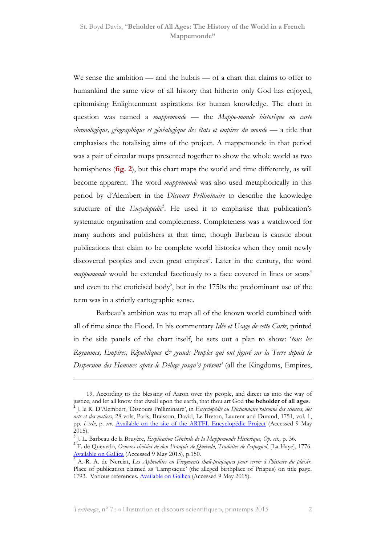We sense the ambition — and the hubris — of a chart that claims to offer to humankind the same view of all history that hitherto only God has enjoyed, epitomising Enlightenment aspirations for human knowledge. The chart in question was named a *mappemonde* — the Mappe-monde historique ou carte chronologique, géographique et généalogique des états et empires du monde — a title that emphasises the totalising aims of the project. A mappemonde in that period was a pair of circular maps presented together to show the whole world as two hemispheres (fig. 2), but this chart maps the world and time differently, as will become apparent. The word mappemonde was also used metaphorically in this period by d'Alembert in the Discours Préliminaire to describe the knowledge structure of the *Encyclopédie*<sup>2</sup>. He used it to emphasise that publication's systematic organisation and completeness. Completeness was a watchword for many authors and publishers at that time, though Barbeau is caustic about publications that claim to be complete world histories when they omit newly discovered peoples and even great empires<sup>3</sup>. Later in the century, the word *mappemonde* would be extended facetiously to a face covered in lines or  $scars<sup>4</sup>$ and even to the eroticised body<sup>5</sup>, but in the  $1750s$  the predominant use of the term was in a strictly cartographic sense.

Barbeau's ambition was to map all of the known world combined with all of time since the Flood. In his commentary Idée et Usage de cette Carte, printed in the side panels of the chart itself, he sets out a plan to show: 'tous les Royaumes, Empires, Républiques & grands Peuples qui ont figuré sur la Terre depuis la Dispersion des Hommes après le Déluge jusqu'à présent' (all the Kingdoms, Empires,

 <sup>19.</sup> According to the blessing of Aaron over thy people, and direct us into the way of justice, and let all know that dwell upon the earth, that thou art God the beholder of all ages. 2<br>J. le R. D'Alembert, 'Discours Préliminaire', in Encyclopédie ou Dictionnaire raisonne des sciences, des arts et des metiers, 28 vols, Paris, Braisson, David, Le Breton, Laurent and Durand, 1751, vol. 1, pp. i–xlv, p. xv. Available on the site of the ARTFL Encyclopédie Project (Accessed 9 May 2015).

<sup>&</sup>lt;sup>3</sup> J. L. Barbeau de la Bruyère, E*xplication Générale de la Mappemonde Historique, Op. cit.*, p. 36.<br><sup>4</sup> F. de Quevedo, *Oeuvres choisies de don François de Quevedo, Traduites de l'espagnol, [La Haye], 1776.* Available on Gallica (Accessed 9 May 2015), p.150.

<sup>&</sup>lt;sup>5</sup> A.-R. A. de Nerciat, Les Aphrodites ou Fragments thali-priapiques pour servir à l'histoire du plaisir. Place of publication claimed as 'Lampsaque' (the alleged birthplace of Priapus) on title page. 1793. Various references. Available on Gallica (Accessed 9 May 2015).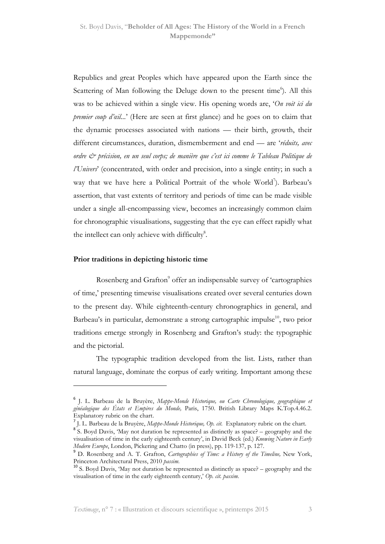Republics and great Peoples which have appeared upon the Earth since the Scattering of Man following the Deluge down to the present time<sup>6</sup>). All this was to be achieved within a single view. His opening words are, 'On voit ici du premier coup d'œil...' (Here are seen at first glance) and he goes on to claim that the dynamic processes associated with nations — their birth, growth, their different circumstances, duration, dismemberment and end — are 'réduits, avec ordre  $\mathcal{C}^*$  précision, en un seul corps; de manière que c'est ici comme le Tableau Politique de l'Univers' (concentrated, with order and precision, into a single entity; in such a way that we have here a Political Portrait of the whole World<sup>7</sup>). Barbeau's assertion, that vast extents of territory and periods of time can be made visible under a single all-encompassing view, becomes an increasingly common claim for chronographic visualisations, suggesting that the eye can effect rapidly what the intellect can only achieve with difficulty<sup>8</sup>.

#### Prior traditions in depicting historic time

 $\overline{a}$ 

Rosenberg and Grafton<sup>9</sup> offer an indispensable survey of 'cartographies of time,' presenting timewise visualisations created over several centuries down to the present day. While eighteenth-century chronographics in general, and Barbeau's in particular, demonstrate a strong cartographic impulse<sup>10</sup>, two prior traditions emerge strongly in Rosenberg and Grafton's study: the typographic and the pictorial.

The typographic tradition developed from the list. Lists, rather than natural language, dominate the corpus of early writing. Important among these

<sup>&</sup>lt;sup>6</sup> J. L. Barbeau de la Bruyère, Mappe-Monde Historique, ou Carte Chronologique, geographique et généalogique des États et Empires du Monde, Paris, 1750. British Library Maps K.Top.4.46.2. Explanatory rubric on the chart.

 $^{7}$  J. L. Barbeau de la Bruyère, *Mappe-Monde Historique, Op. cit.* Explanatory rubric on the chart.

<sup>&</sup>lt;sup>8</sup>S. Boyd Davis, 'May not duration be represented as distinctly as space? – geography and the visualisation of time in the early eighteenth century', in David Beck (ed.) Knowing Nature in Early Modern Europe, London, Pickering and Chatto (in press), pp. 119-137, p. 127.

<sup>&</sup>lt;sup>9</sup> D. Rosenberg and A. T. Grafton, *Cartographies of Time: a History of the Timeline*, New York, Princeton Architectural Press, 2010 passim.

 $10^{\circ}$  S. Boyd Davis, 'May not duration be represented as distinctly as space? – geography and the visualisation of time in the early eighteenth century,' Op. cit. passim.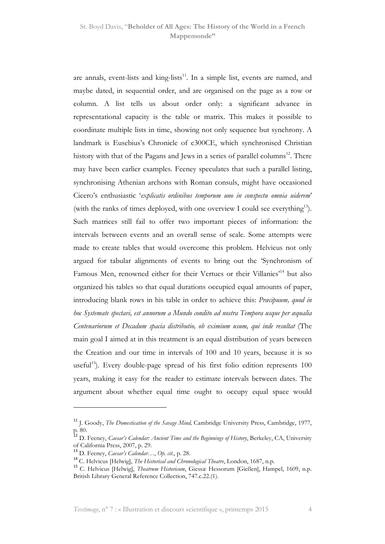are annals, event-lists and king-lists $11$ . In a simple list, events are named, and maybe dated, in sequential order, and are organised on the page as a row or column. A list tells us about order only: a significant advance in representational capacity is the table or matrix. This makes it possible to coordinate multiple lists in time, showing not only sequence but synchrony. A landmark is Eusebius's Chronicle of c300CE, which synchronised Christian history with that of the Pagans and Jews in a series of parallel columns<sup>12</sup>. There may have been earlier examples. Feeney speculates that such a parallel listing, synchronising Athenian archons with Roman consuls, might have occasioned Cicero's enthusiastic 'explicatis ordinibus temporum uno in conspectu omnia uiderem' (with the ranks of times deployed, with one overview I could see everything<sup>13</sup>). Such matrices still fail to offer two important pieces of information: the intervals between events and an overall sense of scale. Some attempts were made to create tables that would overcome this problem. Helvicus not only argued for tabular alignments of events to bring out the 'Synchronism of Famous Men, renowned either for their Vertues or their Villanies'<sup>14</sup> but also organized his tables so that equal durations occupied equal amounts of paper, introducing blank rows in his table in order to achieve this: Præcipuum, quod in hoc Systemate spectavi, est annorum a Mundo condito ad nostra Tempora usque per æqualia Centenariorum et Decadum spacia distributio, ob eximium usum, qui inde resultat (The main goal I aimed at in this treatment is an equal distribution of years between the Creation and our time in intervals of 100 and 10 years, because it is so useful<sup>15</sup>). Every double-page spread of his first folio edition represents  $100$ years, making it easy for the reader to estimate intervals between dates. The argument about whether equal time ought to occupy equal space would

<sup>&</sup>lt;sup>11</sup> J. Goody, *The Domestication of the Savage Mind*, Cambridge University Press, Cambridge, 1977, p. 80.

<sup>&</sup>lt;sup>12</sup> D. Feeney, *Caesar's Calendar: Ancient Time and the Beginnings of History*, Berkeley, CA, University of California Press, 2007, p. 29.

<sup>&</sup>lt;sup>13</sup> D. Feeney, *Caesar's Calendar...*, Op. cit., p. 28.

<sup>&</sup>lt;sup>14</sup> C. Helvicus [Helwig], *The Historical and Chronological Theatre*, London, 1687, n.p.

<sup>&</sup>lt;sup>15</sup> C. Helvicus [Helwig], *Theatrum Historicum*, Giessæ Hessorum [Gießen], Hampel, 1609, n.p. British Library General Reference Collection, 747.c.22.(1).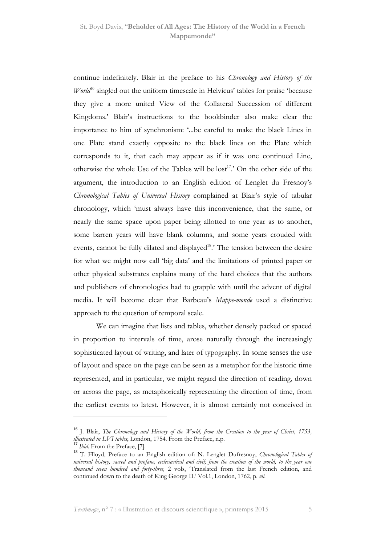continue indefinitely. Blair in the preface to his *Chronology and History of the*  $World<sup>16</sup>$  singled out the uniform timescale in Helvicus' tables for praise 'because they give a more united View of the Collateral Succession of different Kingdoms.' Blair's instructions to the bookbinder also make clear the importance to him of synchronism: '...be careful to make the black Lines in one Plate stand exactly opposite to the black lines on the Plate which corresponds to it, that each may appear as if it was one continued Line, otherwise the whole Use of the Tables will be  $lost^{17}$ . On the other side of the argument, the introduction to an English edition of Lenglet du Fresnoy's Chronological Tables of Universal History complained at Blair's style of tabular chronology, which 'must always have this inconvenience, that the same, or nearly the same space upon paper being allotted to one year as to another, some barren years will have blank columns, and some years crouded with events, cannot be fully dilated and displayed<sup>18</sup>.' The tension between the desire for what we might now call 'big data' and the limitations of printed paper or other physical substrates explains many of the hard choices that the authors and publishers of chronologies had to grapple with until the advent of digital media. It will become clear that Barbeau's Mappe-monde used a distinctive approach to the question of temporal scale.

We can imagine that lists and tables, whether densely packed or spaced in proportion to intervals of time, arose naturally through the increasingly sophisticated layout of writing, and later of typography. In some senses the use of layout and space on the page can be seen as a metaphor for the historic time represented, and in particular, we might regard the direction of reading, down or across the page, as metaphorically representing the direction of time, from the earliest events to latest. However, it is almost certainly not conceived in

<sup>&</sup>lt;sup>16</sup> J. Blair, The Chronology and History of the World, from the Creation to the year of Christ, 1753, illustrated in LVI tables, London, 1754. From the Preface, n.p.

 $\frac{17}{17}$  *Ibid.* From the Preface, [7].

<sup>&</sup>lt;sup>18</sup> T. Flloyd, Preface to an English edition of: N. Lenglet Dufresnoy, Chronological Tables of universal history, sacred and profane, ecclesiastical and civil; from the creation of the world, to the year one thousand seven hundred and forty-three, 2 vols, 'Translated from the last French edition, and continued down to the death of King George II.' Vol.1, London, 1762, p. vii.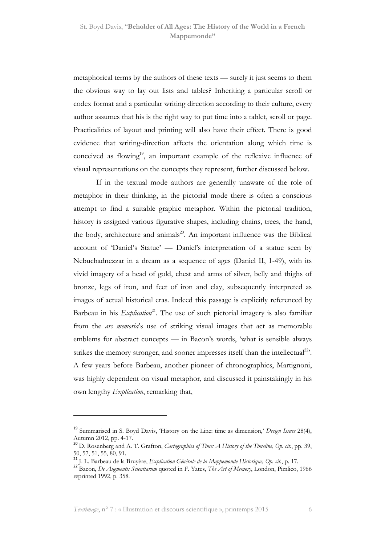metaphorical terms by the authors of these texts — surely it just seems to them the obvious way to lay out lists and tables? Inheriting a particular scroll or codex format and a particular writing direction according to their culture, every author assumes that his is the right way to put time into a tablet, scroll or page. Practicalities of layout and printing will also have their effect. There is good evidence that writing-direction affects the orientation along which time is conceived as flowing<sup>19</sup>, an important example of the reflexive influence of visual representations on the concepts they represent, further discussed below.

If in the textual mode authors are generally unaware of the role of metaphor in their thinking, in the pictorial mode there is often a conscious attempt to find a suitable graphic metaphor. Within the pictorial tradition, history is assigned various figurative shapes, including chains, trees, the hand, the body, architecture and animals<sup>20</sup>. An important influence was the Biblical account of 'Daniel's Statue' — Daniel's interpretation of a statue seen by Nebuchadnezzar in a dream as a sequence of ages (Daniel II, 1-49), with its vivid imagery of a head of gold, chest and arms of silver, belly and thighs of bronze, legs of iron, and feet of iron and clay, subsequently interpreted as images of actual historical eras. Indeed this passage is explicitly referenced by Barbeau in his  $Explication<sup>21</sup>$ . The use of such pictorial imagery is also familiar from the ars memoria's use of striking visual images that act as memorable emblems for abstract concepts — in Bacon's words, 'what is sensible always strikes the memory stronger, and sooner impresses itself than the intellectual<sup>22</sup>. A few years before Barbeau, another pioneer of chronographics, Martignoni, was highly dependent on visual metaphor, and discussed it painstakingly in his own lengthy *Explication*, remarking that,

<sup>&</sup>lt;sup>19</sup> Summarised in S. Boyd Davis, 'History on the Line: time as dimension,' Design Issues 28(4), Autumn 2012, pp. 4-17.<br><sup>20</sup> D. Rosenberg and A. T. Grafton, *Cartographies of Time: A History of the Timeline*, Op. *cit*., pp. 39,

<sup>50, 57, 51, 55, 80, 91.</sup>

<sup>21</sup> J. L. Barbeau de la Bruyère, Explication Générale de la Mappemonde Historique, Op. cit., p. 17.

<sup>&</sup>lt;sup>22</sup> Bacon, *De Augmentis Scientiarum* quoted in F. Yates, *The Art of Memory*, London, Pimlico, 1966 reprinted 1992, p. 358.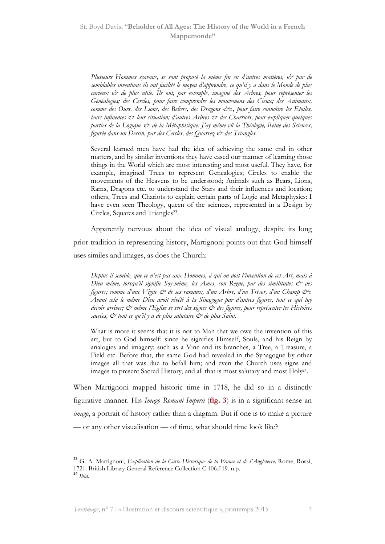Plusieurs Hommes sçavans, se sont proposé la même fin en d'autres matiéres, & par de semblables inventions ils ont facilité le moyen d'apprendre, ce qu'il y a dans le Monde de plus curieux  $\dot{\mathcal{C}}$  de plus utile. Ils ont, par exemple, imaginé des Arbres, pour représenter les Généalogies; des Cercles, pour faire comprendre les mouvemens des Cieux; des Animaux, comme des Ours, des Lions, des Beliers, des Dragons &c., pour faire connoître les Etoiles, leurs influences  $\mathcal O$  leur situation; d'autres Arbres  $\mathcal O$  des Charriots, pour expliquer quelques parties de la Logique & de la Métaphisique: J'ay même vû la Théologie, Reine des Sciences, figurée dans un Dessin, par des Cercles, des Ouarrez & des Triangles.

Several learned men have had the idea of achieving the same end in other matters, and by similar inventions they have eased our manner of learning those things in the World which are most interesting and most useful. They have, for example, imagined Trees to represent Genealogies; Circles to enable the movements of the Heavens to be understood; Animals such as Bears, Lions, Rams, Dragons etc. to understand the Stars and their influences and location; others, Trees and Chariots to explain certain parts of Logic and Metaphysics: I have even seen Theology, queen of the sciences, represented in a Design by Circles, Squares and Triangles<sup>23</sup>.

Apparently nervous about the idea of visual analogy, despite its long prior tradition in representing history, Martignoni points out that God himself uses similes and images, as does the Church:

Deplus il semble, que ce n'est pas aux Hommes, à qui on doit l'invention de cet Art, mais à Dieu même, lorsqu'il signifie Soy-même, les Ames, son Regne, par des similitudes & des figures; comme d'une Vigne & de ses ramaux, d'un Arbre, d'un Trésor, d'un Champ &c. Avant cela le même Dieu avoit révélé à la Sinagogue par d'autres figures, tout ce qui luy devoir arriver;  $\dot{\mathcal{O}}$  même l'Eglise se sert des signes  $\dot{\mathcal{O}}$  des figures, pour représenter les Histoires sacrées,  $\dot{\mathcal{C}}^*$  tout ce qu'il  $y$  a de plus salutaire  $\dot{\mathcal{C}}^*$  de plus Saint.

What is more it seems that it is not to Man that we owe the invention of this art, but to God himself; since he signifies Himself, Souls, and his Reign by analogies and imagery; such as a Vine and its branches, a Tree, a Treasure, a Field etc. Before that, the same God had revealed in the Synagogue by other images all that was due to befall him; and even the Church uses signs and images to present Sacred History, and all that is most salutary and most Holy<sup>24</sup>.

When Martignoni mapped historic time in 1718, he did so in a distinctly figurative manner. His Imago Romani Imperii (fig. 3) is in a significant sense an imago, a portrait of history rather than a diagram. But if one is to make a picture — or any other visualisation — of time, what should time look like?

<sup>&</sup>lt;sup>23</sup> G. A. Martignoni, Explication de la Carte Historique de la France et de l'Angleterre, Rome, Rossi, 1721. British Library General Reference Collection C.106.f.19. n.p.  $24$  Ibid.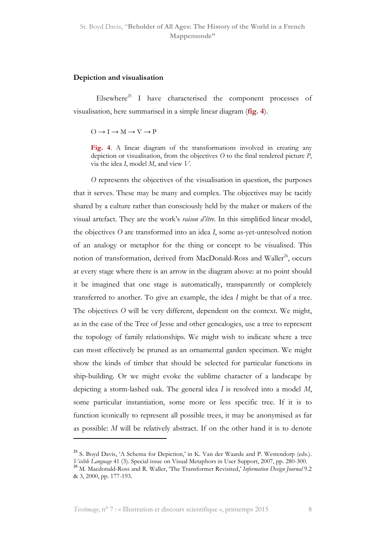### Depiction and visualisation

Elsewhere<sup>25</sup> I have characterised the component processes of visualisation, here summarised in a simple linear diagram (fig. 4).

 $O \rightarrow I \rightarrow M \rightarrow V \rightarrow P$ 

Fig. 4. A linear diagram of the transformations involved in creating any depiction or visualisation, from the objectives  $O$  to the final rendered picture  $P$ , via the idea I, model  $M$ , and view  $V$ .

O represents the objectives of the visualisation in question, the purposes that it serves. These may be many and complex. The objectives may be tacitly shared by a culture rather than consciously held by the maker or makers of the visual artefact. They are the work's raison d'être. In this simplified linear model, the objectives O are transformed into an idea I, some as-yet-unresolved notion of an analogy or metaphor for the thing or concept to be visualised. This notion of transformation, derived from MacDonald-Ross and Waller<sup>26</sup>, occurs at every stage where there is an arrow in the diagram above: at no point should it be imagined that one stage is automatically, transparently or completely transferred to another. To give an example, the idea I might be that of a tree. The objectives O will be very different, dependent on the context. We might, as in the case of the Tree of Jesse and other genealogies, use a tree to represent the topology of family relationships. We might wish to indicate where a tree can most effectively be pruned as an ornamental garden specimen. We might show the kinds of timber that should be selected for particular functions in ship-building. Or we might evoke the sublime character of a landscape by depicting a storm-lashed oak. The general idea I is resolved into a model M, some particular instantiation, some more or less specific tree. If it is to function iconically to represent all possible trees, it may be anonymised as far as possible: M will be relatively abstract. If on the other hand it is to denote l

<sup>&</sup>lt;sup>25</sup> S. Boyd Davis, 'A Schema for Depiction,' in K. Van der Waarde and P. Westendorp (eds.). Visible Language 41 (3). Special issue on Visual Metaphors in User Support, 2007, pp. 280-300.

<sup>&</sup>lt;sup>26</sup> M. Macdonald-Ross and R. Waller, 'The Transformer Revisited,' Information Design Journal 9.2 & 3, 2000, pp. 177-193.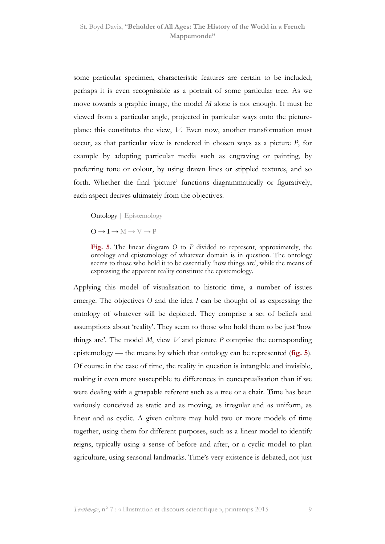some particular specimen, characteristic features are certain to be included; perhaps it is even recognisable as a portrait of some particular tree. As we move towards a graphic image, the model M alone is not enough. It must be viewed from a particular angle, projected in particular ways onto the pictureplane: this constitutes the view, V. Even now, another transformation must occur, as that particular view is rendered in chosen ways as a picture P, for example by adopting particular media such as engraving or painting, by preferring tone or colour, by using drawn lines or stippled textures, and so forth. Whether the final 'picture' functions diagrammatically or figuratively, each aspect derives ultimately from the objectives.

Ontology | Epistemology

 $O \rightarrow I \rightarrow M \rightarrow V \rightarrow P$ 

Fig. 5. The linear diagram  $O$  to  $P$  divided to represent, approximately, the ontology and epistemology of whatever domain is in question. The ontology seems to those who hold it to be essentially 'how things are', while the means of expressing the apparent reality constitute the epistemology.

Applying this model of visualisation to historic time, a number of issues emerge. The objectives O and the idea I can be thought of as expressing the ontology of whatever will be depicted. They comprise a set of beliefs and assumptions about 'reality'. They seem to those who hold them to be just 'how things are'. The model  $M$ , view  $V$  and picture  $P$  comprise the corresponding epistemology — the means by which that ontology can be represented ( $fig. 5$ ). Of course in the case of time, the reality in question is intangible and invisible, making it even more susceptible to differences in conceptualisation than if we were dealing with a graspable referent such as a tree or a chair. Time has been variously conceived as static and as moving, as irregular and as uniform, as linear and as cyclic. A given culture may hold two or more models of time together, using them for different purposes, such as a linear model to identify reigns, typically using a sense of before and after, or a cyclic model to plan agriculture, using seasonal landmarks. Time's very existence is debated, not just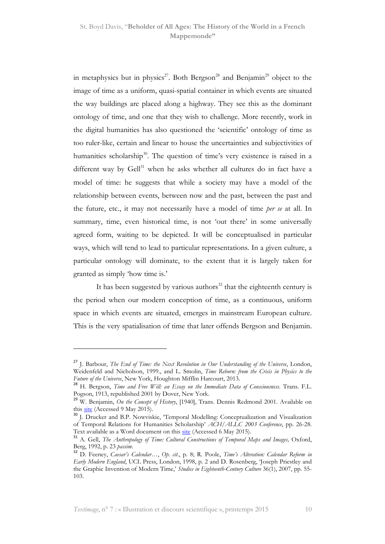in metaphysics but in physics<sup>27</sup>. Both Bergson<sup>28</sup> and Benjamin<sup>29</sup> object to the image of time as a uniform, quasi-spatial container in which events are situated the way buildings are placed along a highway. They see this as the dominant ontology of time, and one that they wish to challenge. More recently, work in the digital humanities has also questioned the 'scientific' ontology of time as too ruler-like, certain and linear to house the uncertainties and subjectivities of humanities scholarship<sup>30</sup>. The question of time's very existence is raised in a different way by  $Gell^{31}$  when he asks whether all cultures do in fact have a model of time: he suggests that while a society may have a model of the relationship between events, between now and the past, between the past and the future, etc., it may not necessarily have a model of time per se at all. In summary, time, even historical time, is not 'out there' in some universally agreed form, waiting to be depicted. It will be conceptualised in particular ways, which will tend to lead to particular representations. In a given culture, a particular ontology will dominate, to the extent that it is largely taken for granted as simply 'how time is.'

It has been suggested by various authors<sup>32</sup> that the eighteenth century is the period when our modern conception of time, as a continuous, uniform space in which events are situated, emerges in mainstream European culture. This is the very spatialisation of time that later offends Bergson and Benjamin.

<sup>&</sup>lt;sup>27</sup> J. Barbour, *The End of Time: the Next Revolution in Our Understanding of the Universe*, London, Weidenfeld and Nicholson, 1999., and L. Smolin, Time Reborn: from the Crisis in Physics to the Future of the Universe, New York, Houghton Mifflin Harcourt, 2013.

<sup>&</sup>lt;sup>28</sup> H. Bergson, Time and Free Will: an Essay on the Immediate Data of Consciousness. Trans. F.L. Pogson, 1913, republished 2001 by Dover, New York.

 $29$  W. Benjamin, On the Concept of History, [1940], Trans. Dennis Redmond 2001. Available on this site (Accessed 9 May 2015).

<sup>&</sup>lt;sup>30</sup> J. Drucker and B.P. Nowviskie, 'Temporal Modelling: Conceptualization and Visualization of Temporal Relations for Humanities Scholarship' ACH/ALLC 2003 Conference, pp. 26-28. Text available as a Word document on this site (Accessed 6 May 2015).

<sup>&</sup>lt;sup>31</sup> A. Gell, The Anthropology of Time: Cultural Constructions of Temporal Maps and Images, Oxford, Berg, 1992, p. 23 passim.

<sup>&</sup>lt;sup>32</sup> D. Feeney, Caesar's Calendar..., Op. cit., p. 8; R. Poole, Time's Alteration: Calendar Reform in Early Modern England, UCL Press, London, 1998, p. 2 and D. Rosenberg, 'Joseph Priestley and the Graphic Invention of Modern Time,' Studies in Eighteenth-Century Culture 36(1), 2007, pp. 55- 103.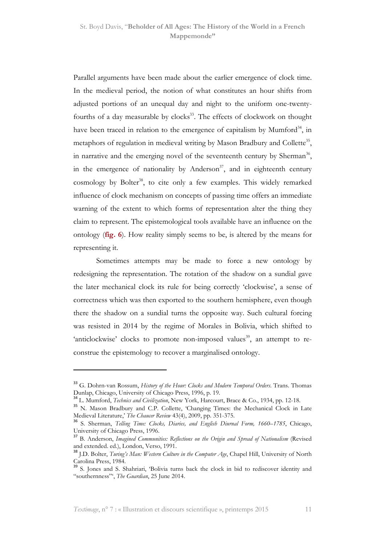Parallel arguments have been made about the earlier emergence of clock time. In the medieval period, the notion of what constitutes an hour shifts from adjusted portions of an unequal day and night to the uniform one-twentyfourths of a day measurable by clocks<sup>33</sup>. The effects of clockwork on thought have been traced in relation to the emergence of capitalism by Mumford<sup>34</sup>, in metaphors of regulation in medieval writing by Mason Bradbury and Collette<sup>35</sup>, in narrative and the emerging novel of the seventeenth century by Sherman<sup>36</sup>, in the emergence of nationality by Anderson<sup>37</sup>, and in eighteenth century cosmology by Bolter<sup>38</sup>, to cite only a few examples. This widely remarked influence of clock mechanism on concepts of passing time offers an immediate warning of the extent to which forms of representation alter the thing they claim to represent. The epistemological tools available have an influence on the ontology (fig. 6). How reality simply seems to be, is altered by the means for representing it.

Sometimes attempts may be made to force a new ontology by redesigning the representation. The rotation of the shadow on a sundial gave the later mechanical clock its rule for being correctly 'clockwise', a sense of correctness which was then exported to the southern hemisphere, even though there the shadow on a sundial turns the opposite way. Such cultural forcing was resisted in 2014 by the regime of Morales in Bolivia, which shifted to 'anticlockwise' clocks to promote non-imposed values<sup>39</sup>, an attempt to reconstrue the epistemology to recover a marginalised ontology.

<sup>&</sup>lt;sup>33</sup> G. Dohrn-van Rossum, History of the Hour: Clocks and Modern Temporal Orders. Trans. Thomas Dunlap, Chicago, University of Chicago Press, 1996, p. 19.

<sup>&</sup>lt;sup>34</sup> L. Mumford, *Technics and Civilization*, New York, Harcourt, Brace & Co., 1934, pp. 12-18.

<sup>&</sup>lt;sup>35</sup> N. Mason Bradbury and C.P. Collette, 'Changing Times: the Mechanical Clock in Late Medieval Literature,' The Chaucer Review 43(4), 2009, pp. 351-375.

<sup>&</sup>lt;sup>36</sup> S. Sherman, Telling Time: Clocks, Diaries, and English Diurnal Form, 1660–1785, Chicago, University of Chicago Press, 1996.

<sup>&</sup>lt;sup>37</sup> B. Anderson, Imagined Communities: Reflections on the Origin and Spread of Nationalism (Revised and extended. ed.), London, Verso, 1991.

<sup>&</sup>lt;sup>38</sup> J.D. Bolter, *Turing's Man: Western Culture in the Computer Age*, Chapel Hill, University of North Carolina Press, 1984.

<sup>&</sup>lt;sup>39</sup> S. Jones and S. Shahriari, 'Bolivia turns back the clock in bid to rediscover identity and "southernness"', The Guardian, 25 June 2014.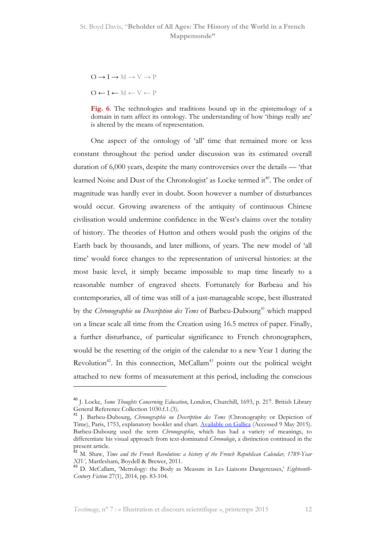$O \rightarrow I \rightarrow M \rightarrow V \rightarrow P$ 

 $O \leftarrow I \leftarrow M \leftarrow V \leftarrow P$ 

l

One aspect of the ontology of 'all' time that remained more or less constant throughout the period under discussion was its estimated overall duration of 6,000 years, despite the many controversies over the details — 'that learned Noise and Dust of the Chronologist' as Locke termed it<sup>40</sup>. The order of magnitude was hardly ever in doubt. Soon however a number of disturbances would occur. Growing awareness of the antiquity of continuous Chinese civilisation would undermine confidence in the West's claims over the totality of history. The theories of Hutton and others would push the origins of the Earth back by thousands, and later millions, of years. The new model of 'all time' would force changes to the representation of universal histories: at the most basic level, it simply became impossible to map time linearly to a reasonable number of engraved sheets. Fortunately for Barbeau and his contemporaries, all of time was still of a just-manageable scope, best illustrated by the Chronographie ou Description des Tems of Barbeu-Dubourg<sup>41</sup> which mapped on a linear scale all time from the Creation using 16.5 metres of paper. Finally, a further disturbance, of particular significance to French chronographers, would be the resetting of the origin of the calendar to a new Year 1 during the Revolution<sup>42</sup>. In this connection, McCallam<sup>43</sup> points out the political weight attached to new forms of measurement at this period, including the conscious

Fig. 6. The technologies and traditions bound up in the epistemology of a domain in turn affect its ontology. The understanding of how 'things really are' is altered by the means of representation.

<sup>&</sup>lt;sup>40</sup> J. Locke, Some Thoughts Concerning Education, London, Churchill, 1693, p. 217. British Library General Reference Collection 1030.f.1.(3).

<sup>41</sup> J. Barbeu-Dubourg, Chronographie ou Description des Tems (Chronography or Depiction of Time), Paris, 1753, explanatory booklet and chart. Available on Gallica (Accessed 9 May 2015). Barbeu-Dubourg used the term Chronographie, which has had a variety of meanings, to differentiate his visual approach from text-dominated *Chronologie*, a distinction continued in the present article.

<sup>&</sup>lt;sup>42</sup> M. Shaw, *Time and the French Revolution: a history of the French Republican Calendar, 1789-Year* XIV, Martlesham, Boydell & Brewer, 2011.

<sup>&</sup>lt;sup>43</sup> D. McCallam, 'Metrology: the Body as Measure in Les Liaisons Dangereuses,' Eighteenth-Century Fiction 27(1), 2014, pp. 83-104.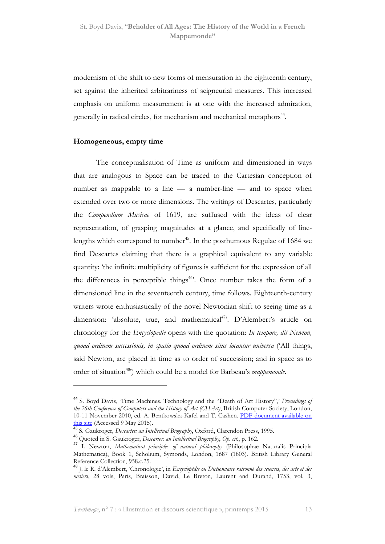modernism of the shift to new forms of mensuration in the eighteenth century, set against the inherited arbitrariness of seigneurial measures. This increased emphasis on uniform measurement is at one with the increased admiration, generally in radical circles, for mechanism and mechanical metaphors<sup>44</sup>.

#### Homogeneous, empty time

 $\overline{a}$ 

The conceptualisation of Time as uniform and dimensioned in ways that are analogous to Space can be traced to the Cartesian conception of number as mappable to a line — a number-line — and to space when extended over two or more dimensions. The writings of Descartes, particularly the Compendium Musicae of 1619, are suffused with the ideas of clear representation, of grasping magnitudes at a glance, and specifically of linelengths which correspond to number<sup>45</sup>. In the posthumous Regulae of  $1684$  we find Descartes claiming that there is a graphical equivalent to any variable quantity: 'the infinite multiplicity of figures is sufficient for the expression of all the differences in perceptible things<sup>46</sup>. Once number takes the form of a dimensioned line in the seventeenth century, time follows. Eighteenth-century writers wrote enthusiastically of the novel Newtonian shift to seeing time as a dimension: 'absolute, true, and mathematical<sup>47</sup>. D'Alembert's article on chronology for the *Encyclopedie* opens with the quotation: In tempore, dit Newton, quoad ordinem successionis, in spatio quoad ordinem situs locantur universa ('All things, said Newton, are placed in time as to order of succession; and in space as to order of situation<sup>48</sup>) which could be a model for Barbeau's *mappemonde*.

<sup>&</sup>lt;sup>44</sup> S. Boyd Davis, 'Time Machines. Technology and the "Death of Art History",' Proceedings of the 26th Conference of Computers and the History of Art (CHArt), British Computer Society, London, 10-11 November 2010, ed. A. Bentkowska-Kafel and T. Cashen. PDF document available on this site (Accessed 9 May 2015).

<sup>45</sup> S. Gaukroger, *Descartes: an Intellectual Biography*, Oxford, Clarendon Press, 1995.

<sup>46</sup> Quoted in S. Gaukroger, *Descartes: an Intellectual Biography*, Op. cit., p. 162.

<sup>&</sup>lt;sup>47</sup> I. Newton, *Mathematical principles of natural philosophy* (Philosophae Naturalis Principia Mathematica), Book 1, Scholium, Symonds, London, 1687 (1803). British Library General Reference Collection, 958.c.25.

<sup>&</sup>lt;sup>48</sup> J. le R. d'Alembert, 'Chronologie', in Encyclopédie ou Dictionnaire raisonné des sciences, des arts et des metiers, 28 vols, Paris, Braisson, David, Le Breton, Laurent and Durand, 1753, vol. 3,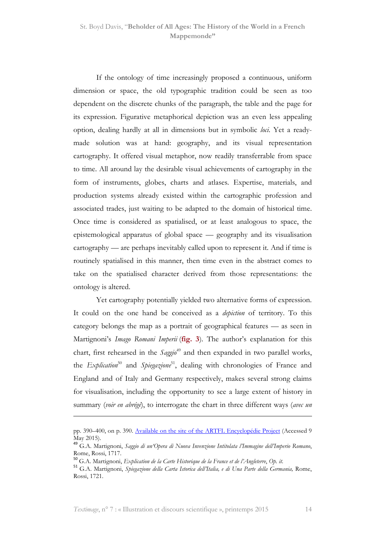If the ontology of time increasingly proposed a continuous, uniform dimension or space, the old typographic tradition could be seen as too dependent on the discrete chunks of the paragraph, the table and the page for its expression. Figurative metaphorical depiction was an even less appealing option, dealing hardly at all in dimensions but in symbolic loci. Yet a readymade solution was at hand: geography, and its visual representation cartography. It offered visual metaphor, now readily transferrable from space to time. All around lay the desirable visual achievements of cartography in the form of instruments, globes, charts and atlases. Expertise, materials, and production systems already existed within the cartographic profession and associated trades, just waiting to be adapted to the domain of historical time. Once time is considered as spatialised, or at least analogous to space, the epistemological apparatus of global space — geography and its visualisation cartography — are perhaps inevitably called upon to represent it. And if time is routinely spatialised in this manner, then time even in the abstract comes to take on the spatialised character derived from those representations: the ontology is altered.

Yet cartography potentially yielded two alternative forms of expression. It could on the one hand be conceived as a *depiction* of territory. To this category belongs the map as a portrait of geographical features — as seen in Martignoni's *Imago Romani Imperii* (fig. 3). The author's explanation for this chart, first rehearsed in the  $Saggia^{49}$  and then expanded in two parallel works, the Explication<sup>50</sup> and Spiegazione<sup>51</sup>, dealing with chronologies of France and England and of Italy and Germany respectively, makes several strong claims for visualisation, including the opportunity to see a large extent of history in summary (voir en abrégé), to interrogate the chart in three different ways (avec un

pp. 390–400, on p. 390. Available on the site of the ARTFL Encyclopédie Project (Accessed 9 May 2015).

<sup>&</sup>lt;sup>49</sup> G.A. Martignoni, Saggio di un'Opera di Nuova Invenzione Intitolata l'Immagine dell'Imperio Romano, Rome, Rossi, 1717.

<sup>&</sup>lt;sup>50</sup> G.A. Martignoni, Explication de la Carte Historique de la France et de l'Angleterre, Op. it.

<sup>&</sup>lt;sup>51</sup> G.A. Martignoni, Spiegazione della Carta Istorica dell'Italia, e di Una Parte della Germania, Rome, Rossi, 1721.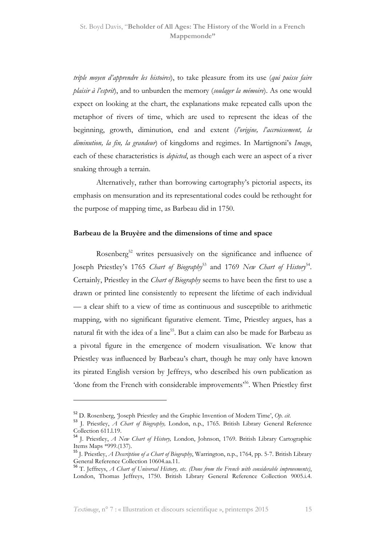triple moyen d'apprendre les histoires), to take pleasure from its use (qui puisse faire plaisir à l'esprit), and to unburden the memory (soulager la mémoire). As one would expect on looking at the chart, the explanations make repeated calls upon the metaphor of rivers of time, which are used to represent the ideas of the beginning, growth, diminution, end and extent (l'origine, l'accroissement, la diminution, la fin, la grandeur) of kingdoms and regimes. In Martignoni's Imago, each of these characteristics is *depicted*, as though each were an aspect of a river snaking through a terrain.

Alternatively, rather than borrowing cartography's pictorial aspects, its emphasis on mensuration and its representational codes could be rethought for the purpose of mapping time, as Barbeau did in 1750.

### Barbeau de la Bruyère and the dimensions of time and space

Rosenberg<sup>52</sup> writes persuasively on the significance and influence of Joseph Priestley's 1765 Chart of Biography<sup>53</sup> and 1769 New Chart of History<sup>54</sup>. Certainly, Priestley in the *Chart of Biography* seems to have been the first to use a drawn or printed line consistently to represent the lifetime of each individual — a clear shift to a view of time as continuous and susceptible to arithmetic mapping, with no significant figurative element. Time, Priestley argues, has a natural fit with the idea of a line<sup>55</sup>. But a claim can also be made for Barbeau as a pivotal figure in the emergence of modern visualisation. We know that Priestley was influenced by Barbeau's chart, though he may only have known its pirated English version by Jeffreys, who described his own publication as 'done from the French with considerable improvements<sup>556</sup>. When Priestley first

 $52$  D. Rosenberg, 'Joseph Priestley and the Graphic Invention of Modern Time', Op. cit.

<sup>53</sup> J. Priestley, A Chart of Biography, London, n.p., 1765. British Library General Reference Collection 611.l.19.

<sup>54</sup> J. Priestley, A New Chart of History, London, Johnson, 1769. British Library Cartographic Items Maps \*999.(137).

<sup>&</sup>lt;sup>55</sup> J. Priestley, *A Description of a Chart of Biography*, Warrington, n.p., 1764, pp. 5-7. British Library General Reference Collection 10604.aa.11.

 $56$  T. Jeffreys, A Chart of Universal History, etc. (Done from the French with considerable improvements), London, Thomas Jeffreys, 1750. British Library General Reference Collection 9005.i.4.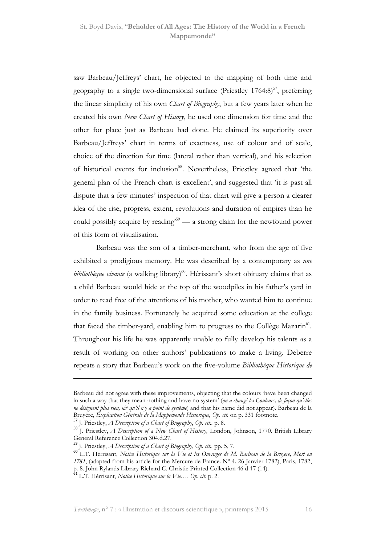saw Barbeau/Jeffreys' chart, he objected to the mapping of both time and geography to a single two-dimensional surface (Priestley  $1764.8$ )<sup>57</sup>, preferring the linear simplicity of his own *Chart of Biography*, but a few years later when he created his own New Chart of History, he used one dimension for time and the other for place just as Barbeau had done. He claimed its superiority over Barbeau/Jeffreys' chart in terms of exactness, use of colour and of scale, choice of the direction for time (lateral rather than vertical), and his selection of historical events for inclusion<sup>58</sup>. Nevertheless, Priestley agreed that 'the general plan of the French chart is excellent', and suggested that 'it is past all dispute that a few minutes' inspection of that chart will give a person a clearer idea of the rise, progress, extent, revolutions and duration of empires than he could possibly acquire by reading'<sup>59</sup> — a strong claim for the newfound power of this form of visualisation.

Barbeau was the son of a timber-merchant, who from the age of five exhibited a prodigious memory. He was described by a contemporary as une bibliothèque vivante (a walking library)<sup>60</sup>. Hérissant's short obituary claims that as a child Barbeau would hide at the top of the woodpiles in his father's yard in order to read free of the attentions of his mother, who wanted him to continue in the family business. Fortunately he acquired some education at the college that faced the timber-yard, enabling him to progress to the Collège Mazarin<sup>61</sup>. Throughout his life he was apparently unable to fully develop his talents as a result of working on other authors' publications to make a living. Deberre repeats a story that Barbeau's work on the five-volume Bibliothèque Historique de

Barbeau did not agree with these improvements, objecting that the colours 'have been changed in such a way that they mean nothing and have no system' (on a changé les Couleurs, de façon qu'elles ne désignent plus rien,  $\dot{\mathcal{O}}$  qu'il n'y a point de système) and that his name did not appear). Barbeau de la Bruyère, Explication Générale de la Mappemonde Historique, Op. cit. on p. 331 footnote.

<sup>57</sup> J. Priestley, A Description of a Chart of Biography, Op. cit.. p. 8.

 $58$  J. Priestley, A Description of a New Chart of History, London, Johnson, 1770. British Library General Reference Collection 304.d.27.

<sup>59</sup> J. Priestley, A Description of a Chart of Biography, Op. cit.. pp. 5, 7.

<sup>60</sup> L.T. Hérrisant, Notice Historique sur la Vie et les Ouvrages de M. Barbeau de la Bruyere, Mort en 1781, (adapted from his article for the Mercure de France. Nº 4. 26 Janvier 1782), Paris, 1782,

p. 8. John Rylands Library Richard C. Christie Printed Collection 46 d 17 (14).<br><sup>61</sup> L.T. Hérrisant, N*otice Historique sur la Vie…, Op. cit.* p. 2.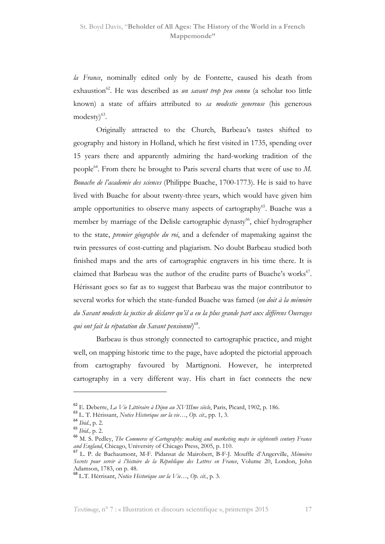la France, nominally edited only by de Fontette, caused his death from exhaustion<sup>62</sup>. He was described as un savant trop peu connu (a scholar too little known) a state of affairs attributed to sa modestie genereuse (his generous modesty)<sup>63</sup>.

Originally attracted to the Church, Barbeau's tastes shifted to geography and history in Holland, which he first visited in 1735, spending over 15 years there and apparently admiring the hard-working tradition of the people<sup>64</sup>. From there he brought to Paris several charts that were of use to  $M$ . Bouache de l'academie des sciences (Philippe Buache, 1700-1773). He is said to have lived with Buache for about twenty-three years, which would have given him ample opportunities to observe many aspects of cartography $65$ . Buache was a member by marriage of the Delisle cartographic dynasty<sup>66</sup>, chief hydrographer to the state, premier géographe du roi, and a defender of mapmaking against the twin pressures of cost-cutting and plagiarism. No doubt Barbeau studied both finished maps and the arts of cartographic engravers in his time there. It is claimed that Barbeau was the author of the erudite parts of Buache's works<sup>67</sup>. Hérissant goes so far as to suggest that Barbeau was the major contributor to several works for which the state-funded Buache was famed (on doit à la mémoire du Savant modeste la justice de déclarer qu'il a eu la plus grande part aux différens Ouvrages qui ont fait la réputation du Savant pensionné) $^{\rm 68}.$ 

Barbeau is thus strongly connected to cartographic practice, and might well, on mapping historic time to the page, have adopted the pictorial approach from cartography favoured by Martignoni. However, he interpreted cartography in a very different way. His chart in fact connects the new

<sup>62</sup> E. Deberre, La Vie Littéraire à Dijon au XVIIIme siècle, Paris, Picard, 1902, p. 186.

<sup>63</sup> L. T. Hérissant, Notice Historique sur la vie…, Op. cit., pp. 1, 3.

<sup>64</sup> Ibid., p. 2.

<sup>65</sup> Ibid., p. 2.

<sup>&</sup>lt;sup>66</sup> M. S. Pedley, The Commerce of Cartography: making and marketing maps in eighteenth century France and England, Chicago, University of Chicago Press, 2005, p. 110.

<sup>&</sup>lt;sup>67</sup> L. P. de Bachaumont, M-F. Pidansat de Mairobert, B-F-J. Mouffle d'Angerville, Mémoires Secrets pour servir à l'histoire de la République des Lettres en France, Volume 20, London, John Adamson, 1783, on p. 48.

 $^{68}$  L.T. Hérrisant, Notice Historique sur la Vie..., Op. cit., p. 3.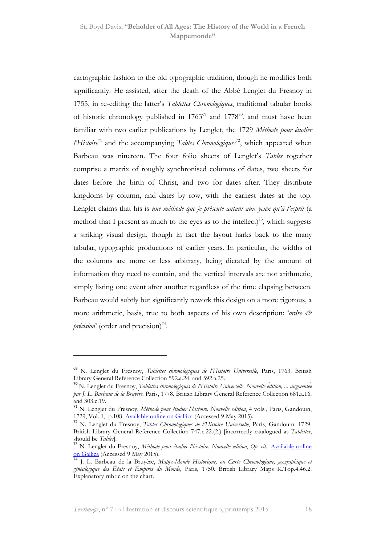cartographic fashion to the old typographic tradition, though he modifies both significantly. He assisted, after the death of the Abbé Lenglet du Fresnoy in 1755, in re-editing the latter's Tablettes Chronologiques, traditional tabular books of historic chronology published in  $1763^{\circ}$  and  $1778^{\circ}$ , and must have been familiar with two earlier publications by Lenglet, the 1729 Méthode pour étudier *l'Histoire*<sup>71</sup> and the accompanying *Tables Chronologiques*<sup>72</sup>, which appeared when Barbeau was nineteen. The four folio sheets of Lenglet's Tables together comprise a matrix of roughly synchronised columns of dates, two sheets for dates before the birth of Christ, and two for dates after. They distribute kingdoms by column, and dates by row, with the earliest dates at the top. Lenglet claims that his is une méthode que je présente autant aux yeux qu'à l'esprit (a method that I present as much to the eyes as to the intellect)<sup>73</sup>, which suggests a striking visual design, though in fact the layout harks back to the many tabular, typographic productions of earlier years. In particular, the widths of the columns are more or less arbitrary, being dictated by the amount of information they need to contain, and the vertical intervals are not arithmetic, simply listing one event after another regardless of the time elapsing between. Barbeau would subtly but significantly rework this design on a more rigorous, a more arithmetic, basis, true to both aspects of his own description: 'ordre  $\mathcal{O}^*$ *précision*' (order and precision)<sup>74</sup>.

<sup>&</sup>lt;sup>69</sup> N. Lenglet du Fresnoy, Tablettes chronologiques de l'Histoire Universelle, Paris, 1763. British Library General Reference Collection 592.a.24. and 592.a.25.

<sup>&</sup>lt;sup>70</sup> N. Lenglet du Fresnoy, Tablettes chronologiques de l'Histoire Universelle. Nouvelle édition, ... augmentée par J. L. Barbeau de la Bruyère. Paris, 1778. British Library General Reference Collection 681.a.16. and 303.c.19.

<sup>&</sup>lt;sup>71</sup> N. Lenglet du Fresnoy, Méthode pour étudier l'histoire. Nouvelle edition, 4 vols., Paris, Gandouin, 1729, Vol. 1, p.108. Available online on Gallica (Accessed 9 May 2015).

<sup>72</sup> N. Lenglet du Fresnoy, Tables Chronologiques de l'Histoire Universelle, Paris, Gandouin, 1729. British Library General Reference Collection 747.c.22.(2.) [incorrectly catalogued as Tablettes; should be *Tables*].<br><sup>73</sup> N. Lenglet du Fresnoy, *Méthode pour étudier l'histoire. Nouvelle edition, Op. cit.. <u>Available online</u>* 

on Gallica (Accessed 9 May 2015).

<sup>74</sup> J. L. Barbeau de la Bruyère, Mappe-Monde Historique, ou Carte Chronologique, geographique et généalogique des États et Empires du Monde, Paris, 1750. British Library Maps K.Top.4.46.2. Explanatory rubric on the chart.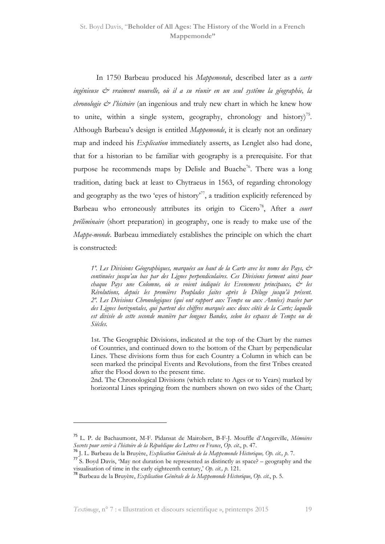In 1750 Barbeau produced his Mappemonde, described later as a carte ingénieuse & vraiment nouvelle, où il a su réunir en un seul systême la géographie, la chronologie  $\mathcal{Q}$  l'histoire (an ingenious and truly new chart in which he knew how to unite, within a single system, geography, chronology and history)<sup>75</sup>. Although Barbeau's design is entitled Mappemonde, it is clearly not an ordinary map and indeed his *Explication* immediately asserts, as Lenglet also had done, that for a historian to be familiar with geography is a prerequisite. For that purpose he recommends maps by Delisle and Buache<sup>76</sup>. There was a long tradition, dating back at least to Chytraeus in 1563, of regarding chronology and geography as the two 'eyes of history'<sup>77</sup>, a tradition explicitly referenced by Barbeau who erroneously attributes its origin to  $Cicero^{78}$ , After a *court* préliminaire (short preparation) in geography, one is ready to make use of the Mappe-monde. Barbeau immediately establishes the principle on which the chart is constructed:

1º. Les Divisions Géographiques, marquées au haut de la Carte avec les noms des Pays, & continuées jusqu'au bas par des Lignes perpendiculaires. Ces Divisions forment ainsi pour chaque Pays une Colomne, où se voient indiqués les Evenemens principaux,  $\mathcal{O}^*$  les Révolutions, depuis les premières Peuplades faites après le Déluge jusqu'à présent. 2º. Les Divisions Chronologiques (qui ont rapport aux Temps ou aux Années) tracées par des Lignes horizontales, qui partent des chiffres marqués aux deux côtés de la Carte; laquelle est divisée de cette seconde manière par longues Bandes, selon les espaces de Temps ou de Siécles.

1st. The Geographic Divisions, indicated at the top of the Chart by the names of Countries, and continued down to the bottom of the Chart by perpendicular Lines. These divisions form thus for each Country a Column in which can be seen marked the principal Events and Revolutions, from the first Tribes created after the Flood down to the present time.

2nd. The Chronological Divisions (which relate to Ages or to Years) marked by horizontal Lines springing from the numbers shown on two sides of the Chart;

<sup>&</sup>lt;sup>75</sup> L. P. de Bachaumont, M-F. Pidansat de Mairobert, B-F-J. Mouffle d'Angerville, Mémoires Secrets pour servir à l'histoire de la République des Lettres en France, Op. cit., p. 47.

<sup>76</sup> J. L. Barbeau de la Bruyère, Explication Générale de la Mappemonde Historique, Op. cit., p. 7.

 $77$  S. Boyd Davis, 'May not duration be represented as distinctly as space? – geography and the visualisation of time in the early eighteenth century,' Op. cit., p. 121.

<sup>&</sup>lt;sup>78</sup> Barbeau de la Bruyère, Explication Générale de la Mappemonde Historique, Op. cit., p. 5.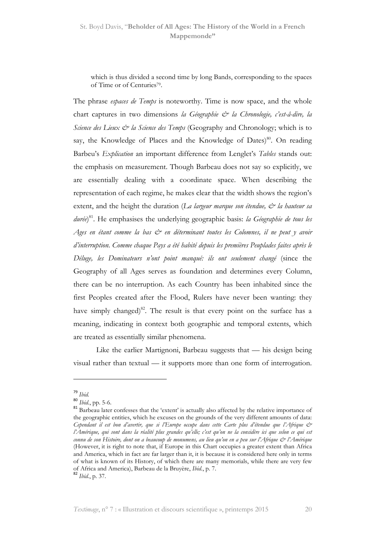which is thus divided a second time by long Bands, corresponding to the spaces of Time or of Centuries<sup>79</sup>.

The phrase *espaces de Temps* is noteworthy. Time is now space, and the whole chart captures in two dimensions la Géographie & la Chronologie, c'est-â-dire, la Science des Lieux  $\mathcal{O}$  la Science des Temps (Geography and Chronology; which is to say, the Knowledge of Places and the Knowledge of Dates)<sup>80</sup>. On reading Barbeu's Explication an important difference from Lenglet's Tables stands out: the emphasis on measurement. Though Barbeau does not say so explicitly, we are essentially dealing with a coordinate space. When describing the representation of each regime, he makes clear that the width shows the region's extent, and the height the duration (La largeur marque son étendue,  $\dot{\mathcal{O}}$  la hauteur sa durée)<sup>81</sup>. He emphasises the underlying geographic basis: la Géographie de tous les Ages en étant comme la bas & en déterminant toutes les Colomnes, il ne peut y avoir d'interruption. Comme chaque Pays a été habité depuis les premières Peuplades faites après le Déluge, les Dominateurs n'ont point manqué: ils ont seulement changé (since the Geography of all Ages serves as foundation and determines every Column, there can be no interruption. As each Country has been inhabited since the first Peoples created after the Flood, Rulers have never been wanting: they have simply changed)<sup>82</sup>. The result is that every point on the surface has a meaning, indicating in context both geographic and temporal extents, which are treated as essentially similar phenomena.

Like the earlier Martignoni, Barbeau suggests that — his design being visual rather than textual — it supports more than one form of interrogation.

 $79$  Ihid.

<sup>80</sup> Ibid., pp. 5-6.

<sup>81</sup> Barbeau later confesses that the 'extent' is actually also affected by the relative importance of the geographic entities, which he excuses on the grounds of the very different amounts of data: Cependant il est bon d'avertir, que si l'Europe occupe dans cette Carte plus d'étendue que l'Afrique & l'Amérique, qui sont dans la réalité plus grandes qu'elle; c'est qu'on ne la considère ici que selon ce qui est connu de son Histoire, dont on a beaucoup de monumens, au lieu qu'on en a peu sur l'Afrique & l'Amérique (However, it is right to note that, if Europe in this Chart occupies a greater extent than Africa and America, which in fact are far larger than it, it is because it is considered here only in terms of what is known of its History, of which there are many memorials, while there are very few of Africa and America), Barbeau de la Bruyère, Ibid., p. 7.

 $82$  *Ibid.*, p. 37.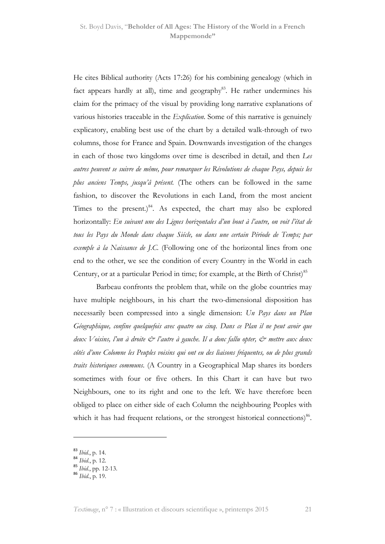He cites Biblical authority (Acts 17:26) for his combining genealogy (which in fact appears hardly at all), time and geography<sup>83</sup>. He rather undermines his claim for the primacy of the visual by providing long narrative explanations of various histories traceable in the *Explication*. Some of this narrative is genuinely explicatory, enabling best use of the chart by a detailed walk-through of two columns, those for France and Spain. Downwards investigation of the changes in each of those two kingdoms over time is described in detail, and then Les autres peuvent se suivre de même, pour remarquer les Révolutions de chaque Pays, depuis les plus anciens Temps, jusqu'à présent. (The others can be followed in the same fashion, to discover the Revolutions in each Land, from the most ancient Times to the present.) $84$ . As expected, the chart may also be explored horizontally: En suivant une des Lignes horizontales d'un bout à l'autre, on voit l'état de tous les Pays du Monde dans chaque Siécle, ou dans une certain Période de Temps; par exemple à la Naissance de J.C. (Following one of the horizontal lines from one end to the other, we see the condition of every Country in the World in each Century, or at a particular Period in time; for example, at the Birth of Christ)<sup>85</sup>

Barbeau confronts the problem that, while on the globe countries may have multiple neighbours, in his chart the two-dimensional disposition has necessarily been compressed into a single dimension: Un Pays dans un Plan Géographique, confine quelquefois avec quatre ou cinq. Dans ce Plan il ne peut avoir que deux Voisins, l'un à droite  $\dot{\mathcal{O}}$  l'autre à gauche. Il a donc fallu opter,  $\dot{\mathcal{O}}$  mettre aux deux côtés d'une Colomne les Peuples voisins qui ont eu des liaisons fréquentes, ou de plus grands traits historiques communs. (A Country in a Geographical Map shares its borders sometimes with four or five others. In this Chart it can have but two Neighbours, one to its right and one to the left. We have therefore been obliged to place on either side of each Column the neighbouring Peoples with which it has had frequent relations, or the strongest historical connections)<sup>86</sup>.

<sup>&</sup>lt;sup>83</sup> Ibid., p. 14.

 $84$  *Ibid.*, p. 12.

 $85$  *Ibid.*, pp. 12-13.

<sup>86</sup> Ibid., p. 19.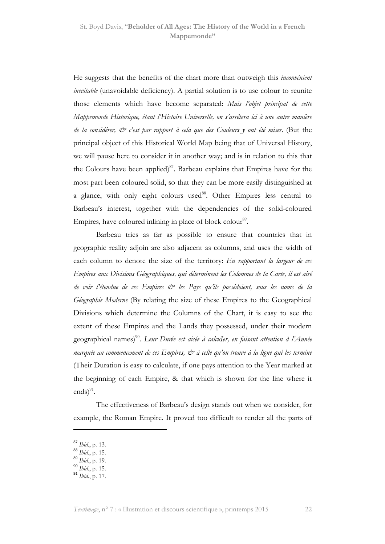He suggests that the benefits of the chart more than outweigh this inconvénient inevitable (unavoidable deficiency). A partial solution is to use colour to reunite those elements which have become separated: Mais l'objet principal de cette Mappemonde Historique, étant l'Histoire Universelle, on s'arrêtera ici à une autre manière de la considérer,  $\mathcal{Q}$  c'est par rapport à cela que des Couleurs y ont été mises. (But the principal object of this Historical World Map being that of Universal History, we will pause here to consider it in another way; and is in relation to this that the Colours have been applied)<sup>87</sup>. Barbeau explains that Empires have for the most part been coloured solid, so that they can be more easily distinguished at a glance, with only eight colours used<sup>88</sup>. Other Empires less central to Barbeau's interest, together with the dependencies of the solid-coloured Empires, have coloured inlining in place of block colour<sup>89</sup>.

Barbeau tries as far as possible to ensure that countries that in geographic reality adjoin are also adjacent as columns, and uses the width of each column to denote the size of the territory: En rapportant la largeur de ces Empires aux Divisions Géographiques, qui déterminent les Colomnes de la Carte, il est aisé de voir l'étendue de ces Empires & les Pays qu'ils possédoient, sous les noms de la Géographie Moderne (By relating the size of these Empires to the Geographical Divisions which determine the Columns of the Chart, it is easy to see the extent of these Empires and the Lands they possessed, under their modern geographical names)<sup>90</sup>. L*eur Durée est aisée à calcuIer, en faisant attention à l'Année* marquée au commencement de ces Empires,  $\mathcal{C}^*$  à celle qu'on trouve à la ligne qui les termine (Their Duration is easy to calculate, if one pays attention to the Year marked at the beginning of each Empire, & that which is shown for the line where it  $ends)$ <sup>91</sup>.

The effectiveness of Barbeau's design stands out when we consider, for example, the Roman Empire. It proved too difficult to render all the parts of

<sup>87</sup> Ibid., p. 13.

 $88 \over 1 \times 1$ , p. 15.

 $89$  *Ibid.*, p. 19.

 $90$  *Ibid.*, p. 15.

 $91$  Ibid., p. 17.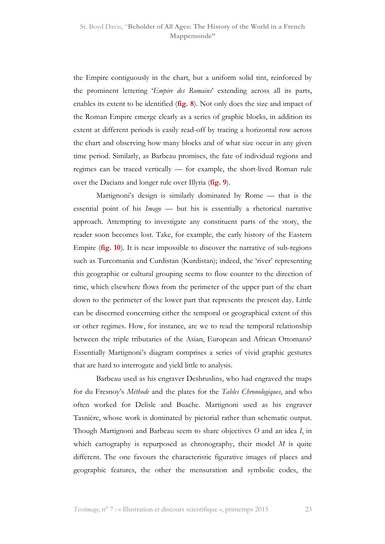the Empire contiguously in the chart, but a uniform solid tint, reinforced by the prominent lettering 'Empire des Romains' extending across all its parts, enables its extent to be identified (**fig. 8**). Not only does the size and impact of the Roman Empire emerge clearly as a series of graphic blocks, in addition its extent at different periods is easily read-off by tracing a horizontal row across the chart and observing how many blocks and of what size occur in any given time period. Similarly, as Barbeau promises, the fate of individual regions and regimes can be traced vertically — for example, the short-lived Roman rule over the Dacians and longer rule over Illyria (fig. 9).

Martignoni's design is similarly dominated by Rome — that is the essential point of his Imago — but his is essentially a rhetorical narrative approach. Attempting to investigate any constituent parts of the story, the reader soon becomes lost. Take, for example, the early history of the Eastern Empire (fig. 10). It is near impossible to discover the narrative of sub-regions such as Turcomania and Curdistan (Kurdistan); indeed, the 'river' representing this geographic or cultural grouping seems to flow counter to the direction of time, which elsewhere flows from the perimeter of the upper part of the chart down to the perimeter of the lower part that represents the present day. Little can be discerned concerning either the temporal or geographical extent of this or other regimes. How, for instance, are we to read the temporal relationship between the triple tributaries of the Asian, European and African Ottomans? Essentially Martignoni's diagram comprises a series of vivid graphic gestures that are hard to interrogate and yield little to analysis.

Barbeau used as his engraver Desbruslins, who had engraved the maps for du Fresnoy's Méthode and the plates for the Tables Chronologiques, and who often worked for Delisle and Buache. Martignoni used as his engraver Tasnière, whose work is dominated by pictorial rather than schematic output. Though Martignoni and Barbeau seem to share objectives O and an idea I, in which cartography is repurposed as chronography, their model  $M$  is quite different. The one favours the characteristic figurative images of places and geographic features, the other the mensuration and symbolic codes, the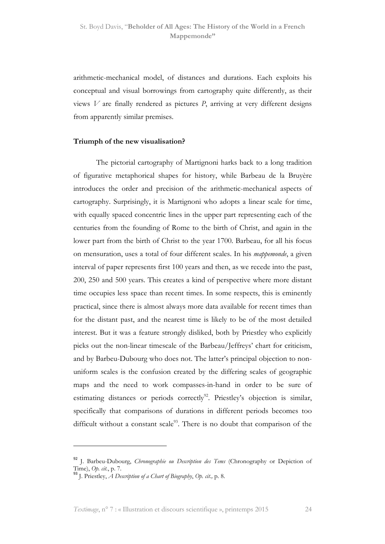arithmetic-mechanical model, of distances and durations. Each exploits his conceptual and visual borrowings from cartography quite differently, as their views  $V$  are finally rendered as pictures  $P$ , arriving at very different designs from apparently similar premises.

#### Triumph of the new visualisation?

The pictorial cartography of Martignoni harks back to a long tradition of figurative metaphorical shapes for history, while Barbeau de la Bruyère introduces the order and precision of the arithmetic-mechanical aspects of cartography. Surprisingly, it is Martignoni who adopts a linear scale for time, with equally spaced concentric lines in the upper part representing each of the centuries from the founding of Rome to the birth of Christ, and again in the lower part from the birth of Christ to the year 1700. Barbeau, for all his focus on mensuration, uses a total of four different scales. In his mappemonde, a given interval of paper represents first 100 years and then, as we recede into the past, 200, 250 and 500 years. This creates a kind of perspective where more distant time occupies less space than recent times. In some respects, this is eminently practical, since there is almost always more data available for recent times than for the distant past, and the nearest time is likely to be of the most detailed interest. But it was a feature strongly disliked, both by Priestley who explicitly picks out the non-linear timescale of the Barbeau/Jeffreys' chart for criticism, and by Barbeu-Dubourg who does not. The latter's principal objection to nonuniform scales is the confusion created by the differing scales of geographic maps and the need to work compasses-in-hand in order to be sure of estimating distances or periods correctly<sup>92</sup>. Priestley's objection is similar, specifically that comparisons of durations in different periods becomes too difficult without a constant scale<sup>93</sup>. There is no doubt that comparison of the

<sup>92</sup> J. Barbeu-Dubourg, Chronographie ou Description des Tems (Chronography or Depiction of Time), Op. cit., p. 7.

 $^{93}$  I. Priestley, A Description of a Chart of Biography, Op. cit., p. 8.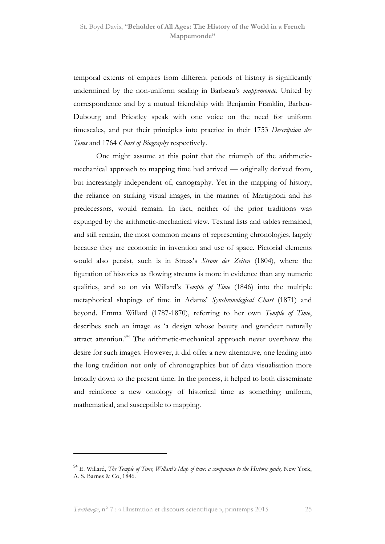temporal extents of empires from different periods of history is significantly undermined by the non-uniform scaling in Barbeau's *mappemonde*. United by correspondence and by a mutual friendship with Benjamin Franklin, Barbeu-Dubourg and Priestley speak with one voice on the need for uniform timescales, and put their principles into practice in their 1753 Description des Tems and 1764 Chart of Biography respectively.

One might assume at this point that the triumph of the arithmeticmechanical approach to mapping time had arrived — originally derived from, but increasingly independent of, cartography. Yet in the mapping of history, the reliance on striking visual images, in the manner of Martignoni and his predecessors, would remain. In fact, neither of the prior traditions was expunged by the arithmetic-mechanical view. Textual lists and tables remained, and still remain, the most common means of representing chronologies, largely because they are economic in invention and use of space. Pictorial elements would also persist, such is in Strass's Strom der Zeiten (1804), where the figuration of histories as flowing streams is more in evidence than any numeric qualities, and so on via Willard's Temple of Time (1846) into the multiple metaphorical shapings of time in Adams' Synchronological Chart (1871) and beyond. Emma Willard (1787-1870), referring to her own Temple of Time, describes such an image as 'a design whose beauty and grandeur naturally attract attention.'<sup>94</sup> The arithmetic-mechanical approach never overthrew the desire for such images. However, it did offer a new alternative, one leading into the long tradition not only of chronographics but of data visualisation more broadly down to the present time. In the process, it helped to both disseminate and reinforce a new ontology of historical time as something uniform, mathematical, and susceptible to mapping.

 $94$  E. Willard, The Temple of Time, Willard's Map of time: a companion to the Historic guide, New York, A. S. Barnes & Co, 1846.